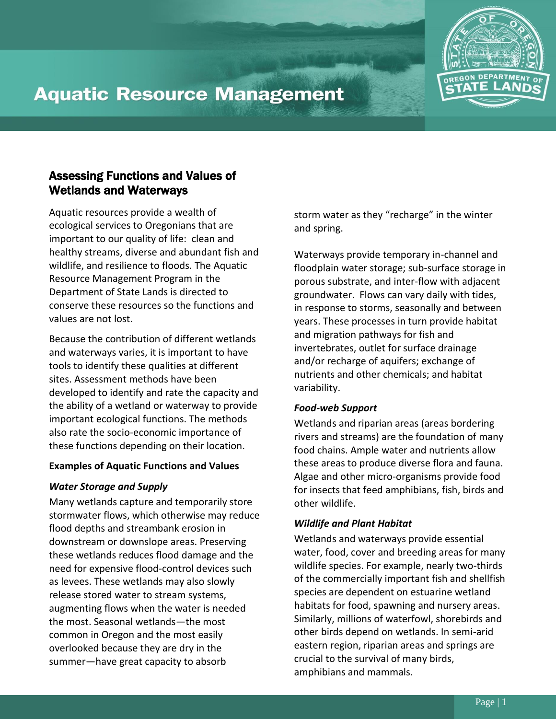

# **Aquatic Resource Management**

# Assessing Functions and Values of Wetlands and Waterways

Aquatic resources provide a wealth of ecological services to Oregonians that are important to our quality of life: clean and healthy streams, diverse and abundant fish and wildlife, and resilience to floods. The Aquatic Resource Management Program in the Department of State Lands is directed to conserve these resources so the functions and values are not lost.

Because the contribution of different wetlands and waterways varies, it is important to have tools to identify these qualities at different sites. Assessment methods have been developed to identify and rate the capacity and the ability of a wetland or waterway to provide important ecological functions. The methods also rate the socio-economic importance of these functions depending on their location.

# **Examples of Aquatic Functions and Values**

# *Water Storage and Supply*

Many wetlands capture and temporarily store stormwater flows, which otherwise may reduce flood depths and streambank erosion in downstream or downslope areas. Preserving these wetlands reduces flood damage and the need for expensive flood-control devices such as levees. These wetlands may also slowly release stored water to stream systems, augmenting flows when the water is needed the most. Seasonal wetlands—the most common in Oregon and the most easily overlooked because they are dry in the summer—have great capacity to absorb

storm water as they "recharge" in the winter and spring.

Waterways provide temporary in-channel and floodplain water storage; sub-surface storage in porous substrate, and inter-flow with adjacent groundwater. Flows can vary daily with tides, in response to storms, seasonally and between years. These processes in turn provide habitat and migration pathways for fish and invertebrates, outlet for surface drainage and/or recharge of aquifers; exchange of nutrients and other chemicals; and habitat variability.

#### *Food-web Support*

Wetlands and riparian areas (areas bordering rivers and streams) are the foundation of many food chains. Ample water and nutrients allow these areas to produce diverse flora and fauna. Algae and other micro-organisms provide food for insects that feed amphibians, fish, birds and other wildlife.

#### *Wildlife and Plant Habitat*

Wetlands and waterways provide essential water, food, cover and breeding areas for many wildlife species. For example, nearly two-thirds of the commercially important fish and shellfish species are dependent on estuarine wetland habitats for food, spawning and nursery areas. Similarly, millions of waterfowl, shorebirds and other birds depend on wetlands. In semi-arid eastern region, riparian areas and springs are crucial to the survival of many birds, amphibians and mammals.